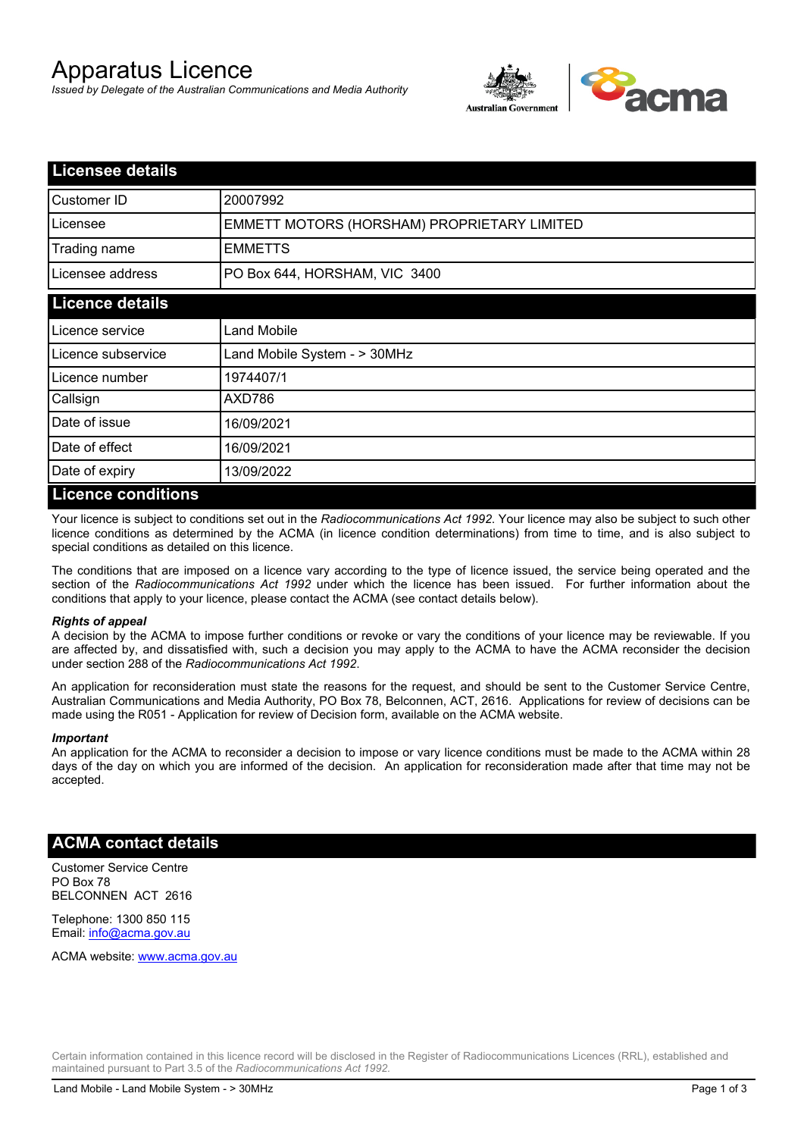# Apparatus Licence

*Issued by Delegate of the Australian Communications and Media Authority*



| <b>Licensee details</b> |                                             |
|-------------------------|---------------------------------------------|
| Customer ID             | 20007992                                    |
| Licensee                | EMMETT MOTORS (HORSHAM) PROPRIETARY LIMITED |
| Trading name            | <b>EMMETTS</b>                              |
| Licensee address        | PO Box 644, HORSHAM, VIC 3400               |
| <b>Licence details</b>  |                                             |
| l Licence service       | <b>Land Mobile</b>                          |
| Licence subservice      | Land Mobile System - > 30MHz                |
| l Licence number        | 1974407/1                                   |
| Callsign                | AXD786                                      |
| Date of issue           | 16/09/2021                                  |
| Date of effect          | 16/09/2021                                  |
| Date of expiry          | 13/09/2022                                  |
| Licance conditions      |                                             |

### **Licence conditions**

Your licence is subject to conditions set out in the *Radiocommunications Act 1992*. Your licence may also be subject to such other licence conditions as determined by the ACMA (in licence condition determinations) from time to time, and is also subject to special conditions as detailed on this licence.

The conditions that are imposed on a licence vary according to the type of licence issued, the service being operated and the section of the *Radiocommunications Act 1992* under which the licence has been issued. For further information about the conditions that apply to your licence, please contact the ACMA (see contact details below).

#### *Rights of appeal*

A decision by the ACMA to impose further conditions or revoke or vary the conditions of your licence may be reviewable. If you are affected by, and dissatisfied with, such a decision you may apply to the ACMA to have the ACMA reconsider the decision under section 288 of the *Radiocommunications Act 1992*.

An application for reconsideration must state the reasons for the request, and should be sent to the Customer Service Centre, Australian Communications and Media Authority, PO Box 78, Belconnen, ACT, 2616. Applications for review of decisions can be made using the R051 - Application for review of Decision form, available on the ACMA website.

#### *Important*

An application for the ACMA to reconsider a decision to impose or vary licence conditions must be made to the ACMA within 28 days of the day on which you are informed of the decision. An application for reconsideration made after that time may not be accepted.

### **ACMA contact details**

Customer Service Centre PO Box 78 BELCONNEN ACT 2616

Telephone: 1300 850 115 Email: info@acma.gov.au

ACMA website: www.acma.gov.au

Certain information contained in this licence record will be disclosed in the Register of Radiocommunications Licences (RRL), established and maintained pursuant to Part 3.5 of the *Radiocommunications Act 1992.*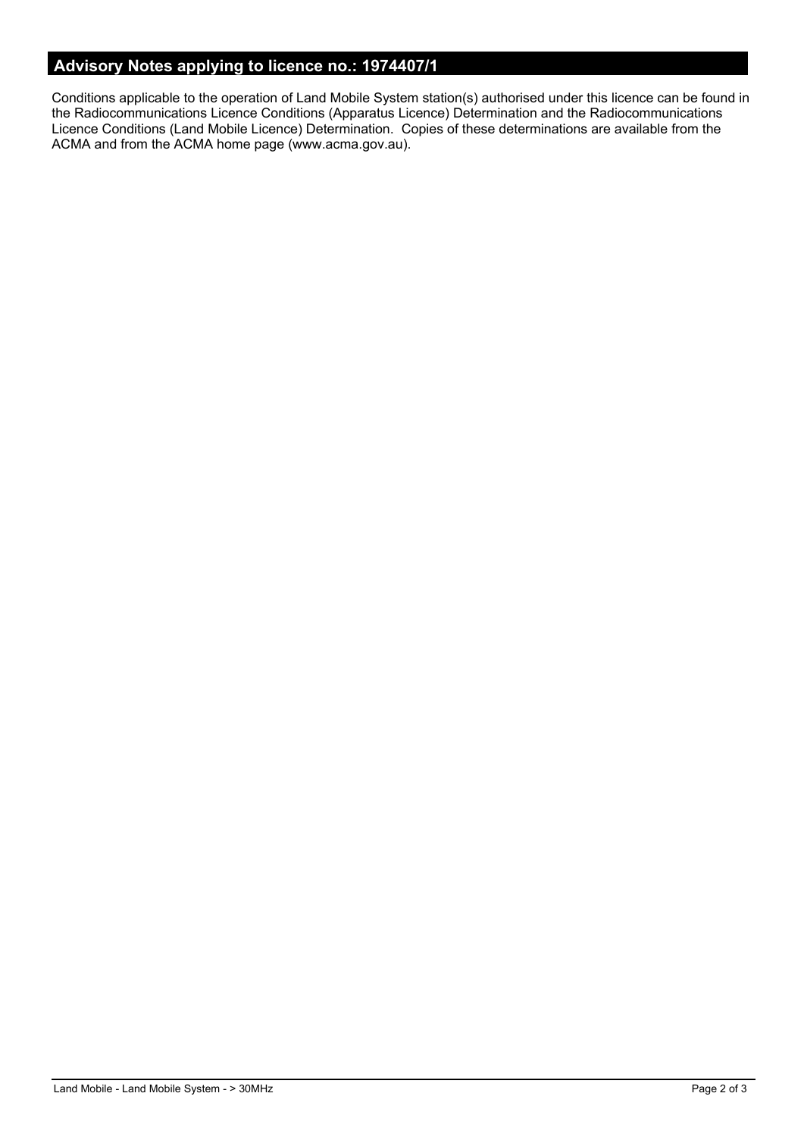# **Advisory Notes applying to licence no.: 1974407/1**

Conditions applicable to the operation of Land Mobile System station(s) authorised under this licence can be found in the Radiocommunications Licence Conditions (Apparatus Licence) Determination and the Radiocommunications Licence Conditions (Land Mobile Licence) Determination. Copies of these determinations are available from the ACMA and from the ACMA home page (www.acma.gov.au).